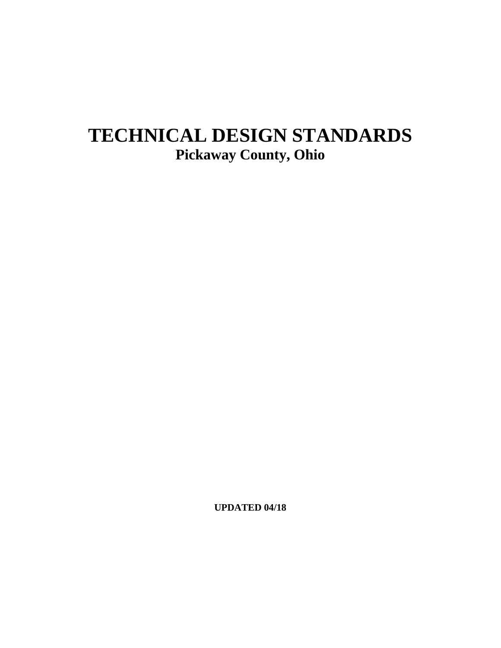# **TECHNICAL DESIGN STANDARDS Pickaway County, Ohio**

**UPDATED 04/18**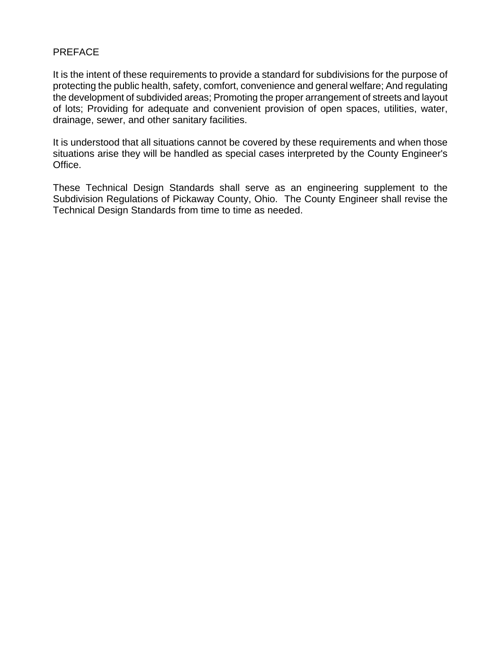#### PREFACE

It is the intent of these requirements to provide a standard for subdivisions for the purpose of protecting the public health, safety, comfort, convenience and general welfare; And regulating the development of subdivided areas; Promoting the proper arrangement of streets and layout of lots; Providing for adequate and convenient provision of open spaces, utilities, water, drainage, sewer, and other sanitary facilities.

It is understood that all situations cannot be covered by these requirements and when those situations arise they will be handled as special cases interpreted by the County Engineer's Office.

These Technical Design Standards shall serve as an engineering supplement to the Subdivision Regulations of Pickaway County, Ohio. The County Engineer shall revise the Technical Design Standards from time to time as needed.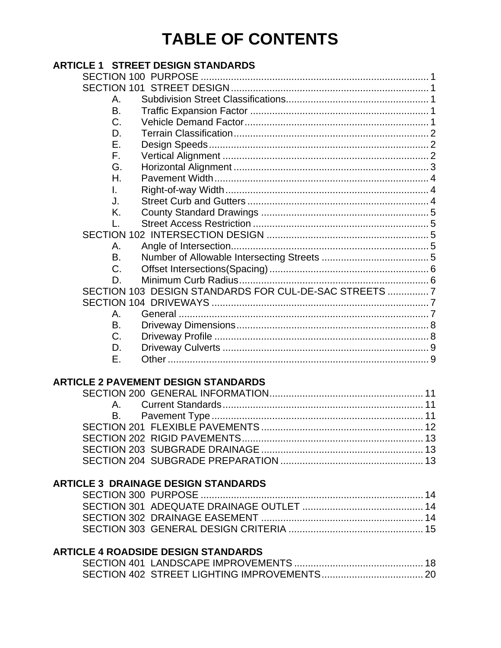# **TABLE OF CONTENTS**

# **ARTICLE 1 STREET DESIGN STANDARDS**

| Α.        |                                                       |  |
|-----------|-------------------------------------------------------|--|
| <b>B.</b> |                                                       |  |
| C.        |                                                       |  |
| D.        |                                                       |  |
| Е.        |                                                       |  |
| F.        |                                                       |  |
| G.        |                                                       |  |
| Н.        |                                                       |  |
| L.        |                                                       |  |
| J.        |                                                       |  |
| K.        |                                                       |  |
|           |                                                       |  |
|           |                                                       |  |
| А.        |                                                       |  |
| В.        |                                                       |  |
| C.        |                                                       |  |
| D.        |                                                       |  |
|           | SECTION 103 DESIGN STANDARDS FOR CUL-DE-SAC STREETS 7 |  |
|           |                                                       |  |
| А.        |                                                       |  |
| В.        |                                                       |  |
| C.        |                                                       |  |
| D.        |                                                       |  |
| F.        |                                                       |  |

# **ARTICLE 2 PAVEMENT DESIGN STANDARDS**

# **ARTICLE 3 DRAINAGE DESIGN STANDARDS**

# **ARTICLE 4 ROADSIDE DESIGN STANDARDS**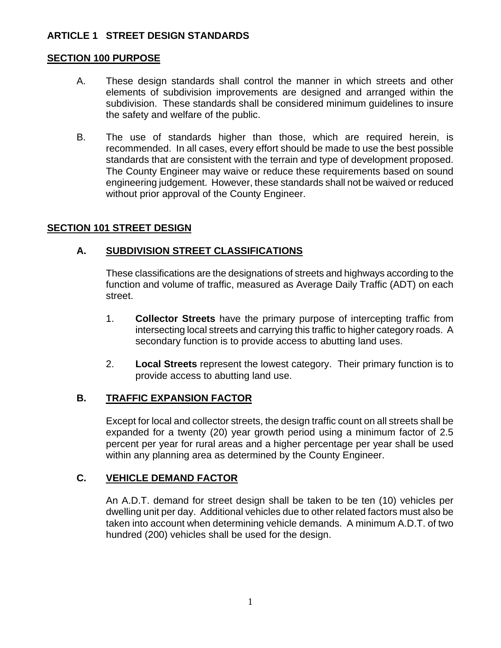# **ARTICLE 1 STREET DESIGN STANDARDS**

## **SECTION 100 PURPOSE**

- A. These design standards shall control the manner in which streets and other elements of subdivision improvements are designed and arranged within the subdivision. These standards shall be considered minimum guidelines to insure the safety and welfare of the public.
- B. The use of standards higher than those, which are required herein, is recommended. In all cases, every effort should be made to use the best possible standards that are consistent with the terrain and type of development proposed. The County Engineer may waive or reduce these requirements based on sound engineering judgement. However, these standards shall not be waived or reduced without prior approval of the County Engineer.

## **SECTION 101 STREET DESIGN**

## **A. SUBDIVISION STREET CLASSIFICATIONS**

These classifications are the designations of streets and highways according to the function and volume of traffic, measured as Average Daily Traffic (ADT) on each street.

- 1. **Collector Streets** have the primary purpose of intercepting traffic from intersecting local streets and carrying this traffic to higher category roads. A secondary function is to provide access to abutting land uses.
- 2. **Local Streets** represent the lowest category. Their primary function is to provide access to abutting land use.

#### **B. TRAFFIC EXPANSION FACTOR**

Except for local and collector streets, the design traffic count on all streets shall be expanded for a twenty (20) year growth period using a minimum factor of 2.5 percent per year for rural areas and a higher percentage per year shall be used within any planning area as determined by the County Engineer.

## **C. VEHICLE DEMAND FACTOR**

An A.D.T. demand for street design shall be taken to be ten (10) vehicles per dwelling unit per day. Additional vehicles due to other related factors must also be taken into account when determining vehicle demands. A minimum A.D.T. of two hundred (200) vehicles shall be used for the design.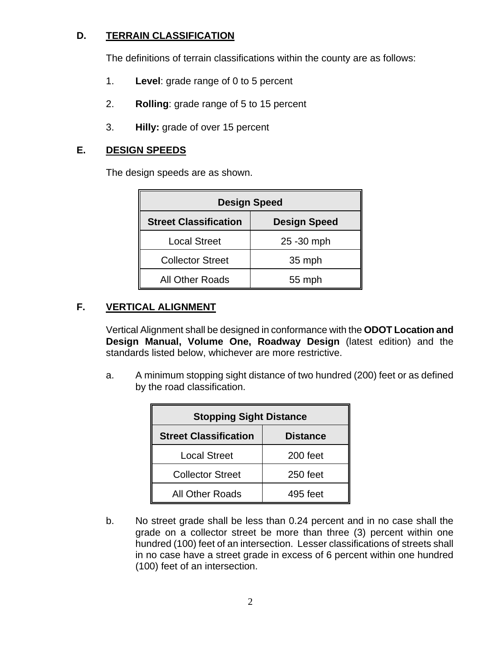# **D. TERRAIN CLASSIFICATION**

The definitions of terrain classifications within the county are as follows:

- 1. **Level**: grade range of 0 to 5 percent
- 2. **Rolling**: grade range of 5 to 15 percent
- 3. **Hilly:** grade of over 15 percent

## **E. DESIGN SPEEDS**

The design speeds are as shown.

| <b>Design Speed</b>          |                     |  |  |
|------------------------------|---------------------|--|--|
| <b>Street Classification</b> | <b>Design Speed</b> |  |  |
| <b>Local Street</b>          | 25 - 30 mph         |  |  |
| <b>Collector Street</b>      | 35 mph              |  |  |
| <b>All Other Roads</b>       | 55 mph              |  |  |

# **F. VERTICAL ALIGNMENT**

Vertical Alignment shall be designed in conformance with the **ODOT Location and Design Manual, Volume One, Roadway Design** (latest edition) and the standards listed below, whichever are more restrictive.

a. A minimum stopping sight distance of two hundred (200) feet or as defined by the road classification.

| <b>Stopping Sight Distance</b>                  |          |  |  |
|-------------------------------------------------|----------|--|--|
| <b>Street Classification</b><br><b>Distance</b> |          |  |  |
| <b>Local Street</b>                             | 200 feet |  |  |
| <b>Collector Street</b>                         | 250 feet |  |  |
| <b>All Other Roads</b>                          | 495 feet |  |  |

b. No street grade shall be less than 0.24 percent and in no case shall the grade on a collector street be more than three (3) percent within one hundred (100) feet of an intersection. Lesser classifications of streets shall in no case have a street grade in excess of 6 percent within one hundred (100) feet of an intersection.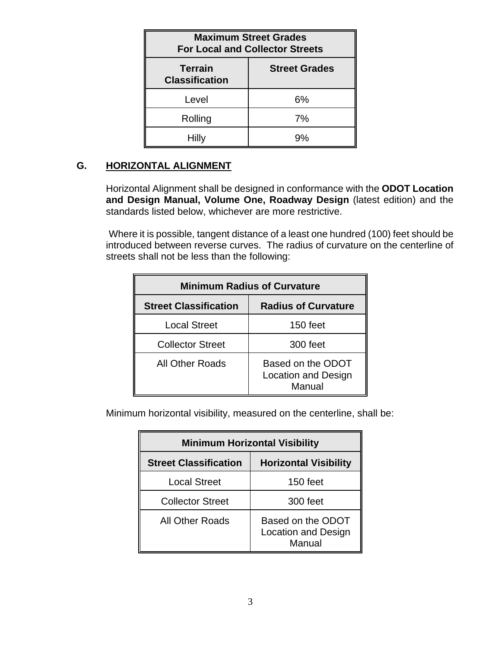| <b>Maximum Street Grades</b><br><b>For Local and Collector Streets</b> |                      |  |  |
|------------------------------------------------------------------------|----------------------|--|--|
| <b>Terrain</b><br><b>Classification</b>                                | <b>Street Grades</b> |  |  |
| Level                                                                  | 6%                   |  |  |
| Rolling                                                                | 7%                   |  |  |
| <b>Hilly</b>                                                           | 9%                   |  |  |

# **G. HORIZONTAL ALIGNMENT**

Horizontal Alignment shall be designed in conformance with the **ODOT Location and Design Manual, Volume One, Roadway Design** (latest edition) and the standards listed below, whichever are more restrictive.

 Where it is possible, tangent distance of a least one hundred (100) feet should be introduced between reverse curves. The radius of curvature on the centerline of streets shall not be less than the following:

| <b>Minimum Radius of Curvature</b> |                                                           |  |  |
|------------------------------------|-----------------------------------------------------------|--|--|
| <b>Street Classification</b>       | <b>Radius of Curvature</b>                                |  |  |
| <b>Local Street</b>                | 150 feet                                                  |  |  |
| <b>Collector Street</b>            | 300 feet                                                  |  |  |
| <b>All Other Roads</b>             | Based on the ODOT<br><b>Location and Design</b><br>Manual |  |  |

Minimum horizontal visibility, measured on the centerline, shall be:

| <b>Minimum Horizontal Visibility</b> |                                                           |  |  |
|--------------------------------------|-----------------------------------------------------------|--|--|
| <b>Street Classification</b>         | <b>Horizontal Visibility</b>                              |  |  |
| <b>Local Street</b>                  | 150 feet                                                  |  |  |
| <b>Collector Street</b>              | 300 feet                                                  |  |  |
| All Other Roads                      | Based on the ODOT<br><b>Location and Design</b><br>Manual |  |  |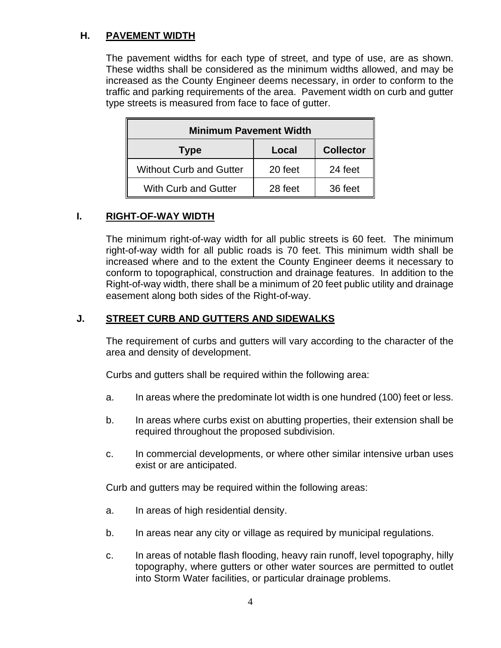# **H. PAVEMENT WIDTH**

The pavement widths for each type of street, and type of use, are as shown. These widths shall be considered as the minimum widths allowed, and may be increased as the County Engineer deems necessary, in order to conform to the traffic and parking requirements of the area. Pavement width on curb and gutter type streets is measured from face to face of gutter.

| <b>Minimum Pavement Width</b>  |         |                  |  |  |
|--------------------------------|---------|------------------|--|--|
| Type                           | Local   | <b>Collector</b> |  |  |
| <b>Without Curb and Gutter</b> | 20 feet | 24 feet          |  |  |
| <b>With Curb and Gutter</b>    | 28 feet | 36 feet          |  |  |

## **I. RIGHT-OF-WAY WIDTH**

The minimum right-of-way width for all public streets is 60 feet. The minimum right-of-way width for all public roads is 70 feet. This minimum width shall be increased where and to the extent the County Engineer deems it necessary to conform to topographical, construction and drainage features. In addition to the Right-of-way width, there shall be a minimum of 20 feet public utility and drainage easement along both sides of the Right-of-way.

## **J. STREET CURB AND GUTTERS AND SIDEWALKS**

The requirement of curbs and gutters will vary according to the character of the area and density of development.

Curbs and gutters shall be required within the following area:

- a. In areas where the predominate lot width is one hundred (100) feet or less.
- b. In areas where curbs exist on abutting properties, their extension shall be required throughout the proposed subdivision.
- c. In commercial developments, or where other similar intensive urban uses exist or are anticipated.

Curb and gutters may be required within the following areas:

- a. In areas of high residential density.
- b. In areas near any city or village as required by municipal regulations.
- c. In areas of notable flash flooding, heavy rain runoff, level topography, hilly topography, where gutters or other water sources are permitted to outlet into Storm Water facilities, or particular drainage problems.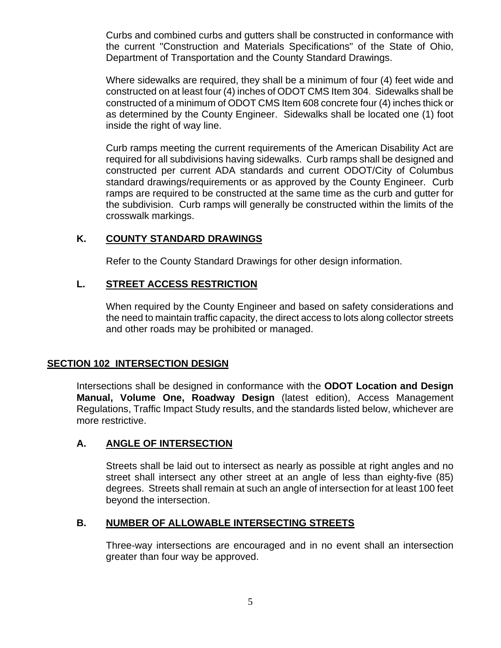Curbs and combined curbs and gutters shall be constructed in conformance with the current "Construction and Materials Specifications" of the State of Ohio, Department of Transportation and the County Standard Drawings.

Where sidewalks are required, they shall be a minimum of four (4) feet wide and constructed on at least four (4) inches of ODOT CMS Item 304. Sidewalks shall be constructed of a minimum of ODOT CMS Item 608 concrete four (4) inches thick or as determined by the County Engineer. Sidewalks shall be located one (1) foot inside the right of way line.

Curb ramps meeting the current requirements of the American Disability Act are required for all subdivisions having sidewalks. Curb ramps shall be designed and constructed per current ADA standards and current ODOT/City of Columbus standard drawings/requirements or as approved by the County Engineer. Curb ramps are required to be constructed at the same time as the curb and gutter for the subdivision. Curb ramps will generally be constructed within the limits of the crosswalk markings.

## **K. COUNTY STANDARD DRAWINGS**

Refer to the County Standard Drawings for other design information.

#### **L. STREET ACCESS RESTRICTION**

When required by the County Engineer and based on safety considerations and the need to maintain traffic capacity, the direct access to lots along collector streets and other roads may be prohibited or managed.

#### **SECTION 102 INTERSECTION DESIGN**

Intersections shall be designed in conformance with the **ODOT Location and Design Manual, Volume One, Roadway Design** (latest edition), Access Management Regulations, Traffic Impact Study results, and the standards listed below, whichever are more restrictive.

#### **A. ANGLE OF INTERSECTION**

Streets shall be laid out to intersect as nearly as possible at right angles and no street shall intersect any other street at an angle of less than eighty-five (85) degrees. Streets shall remain at such an angle of intersection for at least 100 feet beyond the intersection.

#### **B. NUMBER OF ALLOWABLE INTERSECTING STREETS**

Three-way intersections are encouraged and in no event shall an intersection greater than four way be approved.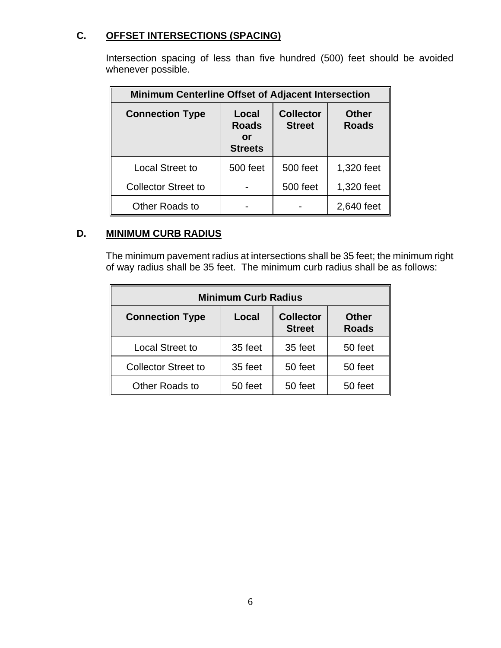# **C. OFFSET INTERSECTIONS (SPACING)**

Intersection spacing of less than five hundred (500) feet should be avoided whenever possible.

| <b>Minimum Centerline Offset of Adjacent Intersection</b> |                                               |                                   |                              |  |
|-----------------------------------------------------------|-----------------------------------------------|-----------------------------------|------------------------------|--|
| <b>Connection Type</b>                                    | Local<br><b>Roads</b><br>or<br><b>Streets</b> | <b>Collector</b><br><b>Street</b> | <b>Other</b><br><b>Roads</b> |  |
| <b>Local Street to</b>                                    | <b>500 feet</b>                               | <b>500 feet</b>                   | 1,320 feet                   |  |
| <b>Collector Street to</b>                                |                                               | 500 feet                          | 1,320 feet                   |  |
| Other Roads to                                            |                                               |                                   | 2,640 feet                   |  |

# **D. MINIMUM CURB RADIUS**

The minimum pavement radius at intersections shall be 35 feet; the minimum right of way radius shall be 35 feet. The minimum curb radius shall be as follows:

| <b>Minimum Curb Radius</b> |         |                                   |                              |
|----------------------------|---------|-----------------------------------|------------------------------|
| <b>Connection Type</b>     | Local   | <b>Collector</b><br><b>Street</b> | <b>Other</b><br><b>Roads</b> |
| <b>Local Street to</b>     | 35 feet | 35 feet                           | 50 feet                      |
| <b>Collector Street to</b> | 35 feet | 50 feet                           | 50 feet                      |
| Other Roads to             | 50 feet | 50 feet                           | 50 feet                      |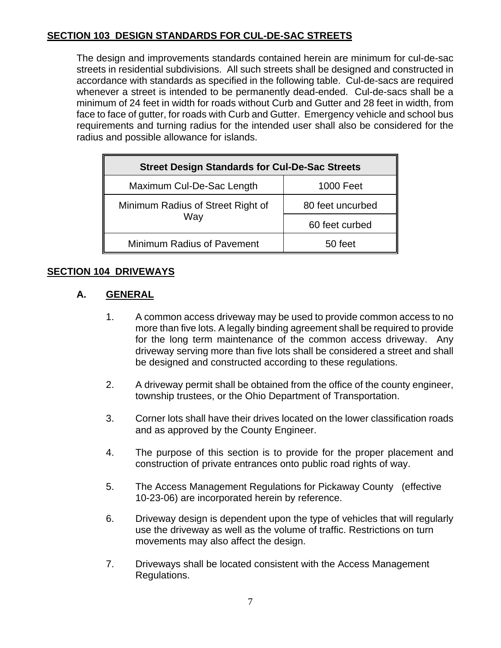# **SECTION 103 DESIGN STANDARDS FOR CUL-DE-SAC STREETS**

The design and improvements standards contained herein are minimum for cul-de-sac streets in residential subdivisions. All such streets shall be designed and constructed in accordance with standards as specified in the following table. Cul-de-sacs are required whenever a street is intended to be permanently dead-ended. Cul-de-sacs shall be a minimum of 24 feet in width for roads without Curb and Gutter and 28 feet in width, from face to face of gutter, for roads with Curb and Gutter. Emergency vehicle and school bus requirements and turning radius for the intended user shall also be considered for the radius and possible allowance for islands.

| <b>Street Design Standards for Cul-De-Sac Streets</b> |                  |  |
|-------------------------------------------------------|------------------|--|
| Maximum Cul-De-Sac Length                             | <b>1000 Feet</b> |  |
| Minimum Radius of Street Right of<br>Way              | 80 feet uncurbed |  |
|                                                       | 60 feet curbed   |  |
| <b>Minimum Radius of Pavement</b>                     | 50 feet          |  |

# **SECTION 104 DRIVEWAYS**

# **A. GENERAL**

- 1. A common access driveway may be used to provide common access to no more than five lots. A legally binding agreement shall be required to provide for the long term maintenance of the common access driveway. Any driveway serving more than five lots shall be considered a street and shall be designed and constructed according to these regulations.
- 2. A driveway permit shall be obtained from the office of the county engineer, township trustees, or the Ohio Department of Transportation.
- 3. Corner lots shall have their drives located on the lower classification roads and as approved by the County Engineer.
- 4. The purpose of this section is to provide for the proper placement and construction of private entrances onto public road rights of way.
- 5. The Access Management Regulations for Pickaway County (effective 10-23-06) are incorporated herein by reference.
- 6. Driveway design is dependent upon the type of vehicles that will regularly use the driveway as well as the volume of traffic. Restrictions on turn movements may also affect the design.
- 7. Driveways shall be located consistent with the Access Management Regulations.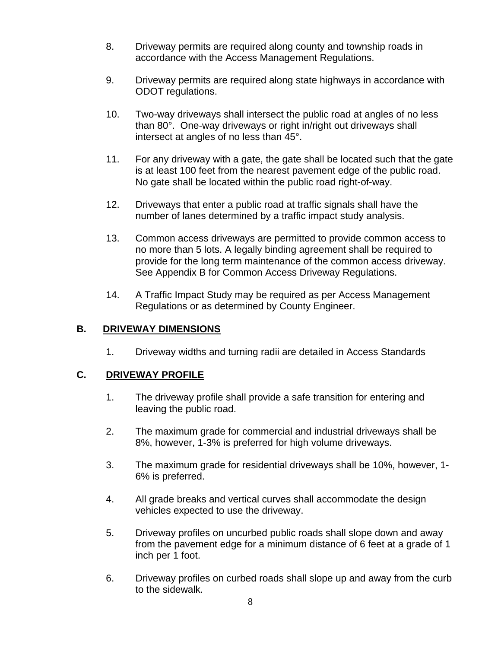- 8. Driveway permits are required along county and township roads in accordance with the Access Management Regulations.
- 9. Driveway permits are required along state highways in accordance with ODOT regulations.
- 10. Two-way driveways shall intersect the public road at angles of no less than 80°. One-way driveways or right in/right out driveways shall intersect at angles of no less than 45°.
- 11. For any driveway with a gate, the gate shall be located such that the gate is at least 100 feet from the nearest pavement edge of the public road. No gate shall be located within the public road right-of-way.
- 12. Driveways that enter a public road at traffic signals shall have the number of lanes determined by a traffic impact study analysis.
- 13. Common access driveways are permitted to provide common access to no more than 5 lots. A legally binding agreement shall be required to provide for the long term maintenance of the common access driveway. See Appendix B for Common Access Driveway Regulations.
- 14. A Traffic Impact Study may be required as per Access Management Regulations or as determined by County Engineer.

## **B. DRIVEWAY DIMENSIONS**

1. Driveway widths and turning radii are detailed in Access Standards

# **C. DRIVEWAY PROFILE**

- 1. The driveway profile shall provide a safe transition for entering and leaving the public road.
- 2. The maximum grade for commercial and industrial driveways shall be 8%, however, 1-3% is preferred for high volume driveways.
- 3. The maximum grade for residential driveways shall be 10%, however, 1- 6% is preferred.
- 4. All grade breaks and vertical curves shall accommodate the design vehicles expected to use the driveway.
- 5. Driveway profiles on uncurbed public roads shall slope down and away from the pavement edge for a minimum distance of 6 feet at a grade of 1 inch per 1 foot.
- 6. Driveway profiles on curbed roads shall slope up and away from the curb to the sidewalk.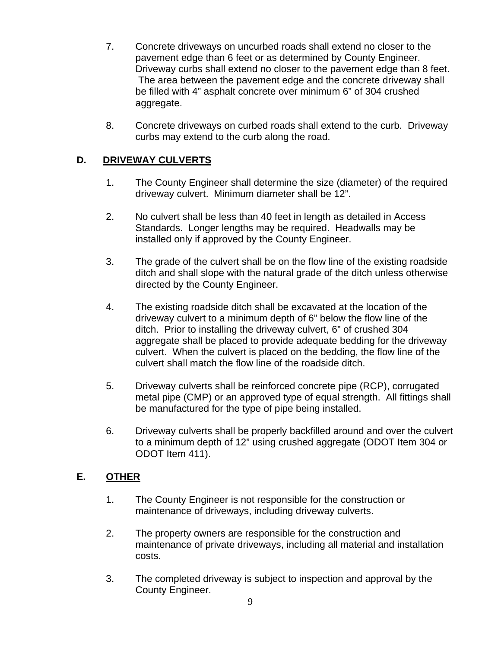- 7. Concrete driveways on uncurbed roads shall extend no closer to the pavement edge than 6 feet or as determined by County Engineer. Driveway curbs shall extend no closer to the pavement edge than 8 feet. The area between the pavement edge and the concrete driveway shall be filled with 4" asphalt concrete over minimum 6" of 304 crushed aggregate.
- 8. Concrete driveways on curbed roads shall extend to the curb. Driveway curbs may extend to the curb along the road.

# **D. DRIVEWAY CULVERTS**

- 1. The County Engineer shall determine the size (diameter) of the required driveway culvert. Minimum diameter shall be 12".
- 2. No culvert shall be less than 40 feet in length as detailed in Access Standards. Longer lengths may be required. Headwalls may be installed only if approved by the County Engineer.
- 3. The grade of the culvert shall be on the flow line of the existing roadside ditch and shall slope with the natural grade of the ditch unless otherwise directed by the County Engineer.
- 4. The existing roadside ditch shall be excavated at the location of the driveway culvert to a minimum depth of 6" below the flow line of the ditch. Prior to installing the driveway culvert, 6" of crushed 304 aggregate shall be placed to provide adequate bedding for the driveway culvert. When the culvert is placed on the bedding, the flow line of the culvert shall match the flow line of the roadside ditch.
- 5. Driveway culverts shall be reinforced concrete pipe (RCP), corrugated metal pipe (CMP) or an approved type of equal strength. All fittings shall be manufactured for the type of pipe being installed.
- 6. Driveway culverts shall be properly backfilled around and over the culvert to a minimum depth of 12" using crushed aggregate (ODOT Item 304 or ODOT Item 411).

# **E. OTHER**

- 1. The County Engineer is not responsible for the construction or maintenance of driveways, including driveway culverts.
- 2. The property owners are responsible for the construction and maintenance of private driveways, including all material and installation costs.
- 3. The completed driveway is subject to inspection and approval by the County Engineer.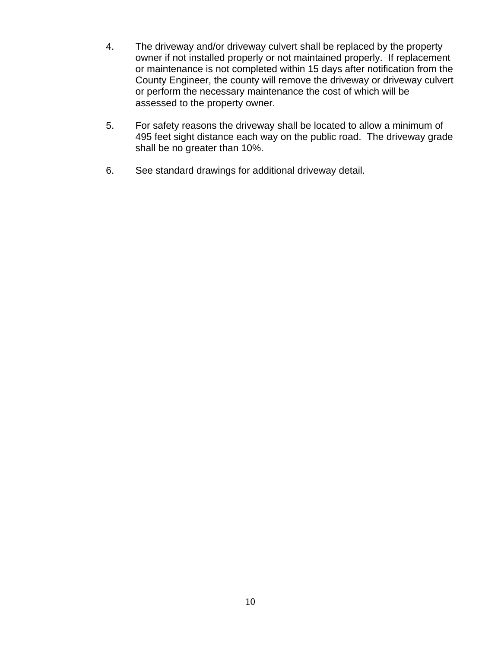- 4. The driveway and/or driveway culvert shall be replaced by the property owner if not installed properly or not maintained properly. If replacement or maintenance is not completed within 15 days after notification from the County Engineer, the county will remove the driveway or driveway culvert or perform the necessary maintenance the cost of which will be assessed to the property owner.
- 5. For safety reasons the driveway shall be located to allow a minimum of 495 feet sight distance each way on the public road. The driveway grade shall be no greater than 10%.
- 6. See standard drawings for additional driveway detail.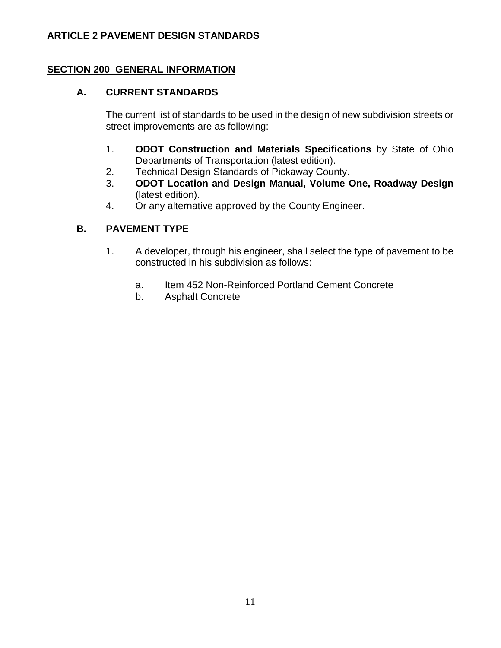# **ARTICLE 2 PAVEMENT DESIGN STANDARDS**

## **SECTION 200 GENERAL INFORMATION**

## **A. CURRENT STANDARDS**

The current list of standards to be used in the design of new subdivision streets or street improvements are as following:

- 1. **ODOT Construction and Materials Specifications** by State of Ohio Departments of Transportation (latest edition).
- 2. Technical Design Standards of Pickaway County.
- 3. **ODOT Location and Design Manual, Volume One, Roadway Design** (latest edition).
- 4. Or any alternative approved by the County Engineer.

# **B. PAVEMENT TYPE**

- 1. A developer, through his engineer, shall select the type of pavement to be constructed in his subdivision as follows:
	- a. Item 452 Non-Reinforced Portland Cement Concrete
	- b. Asphalt Concrete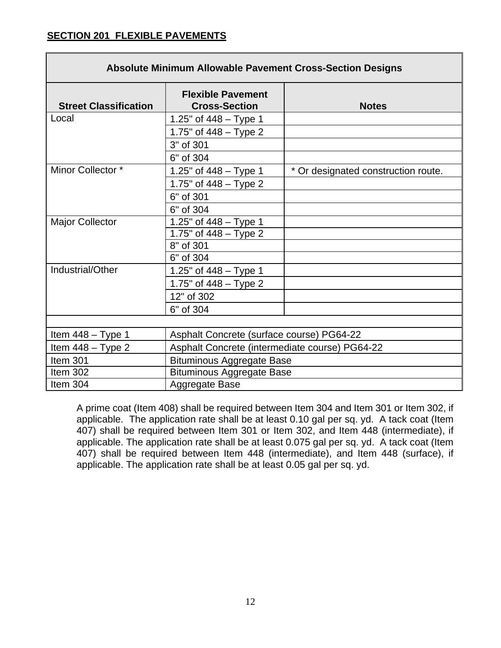# **SECTION 201 FLEXIBLE PAVEMENTS**

| <b>Absolute Minimum Allowable Pavement Cross-Section Designs</b> |                                                  |                                     |  |
|------------------------------------------------------------------|--------------------------------------------------|-------------------------------------|--|
| <b>Street Classification</b>                                     | <b>Flexible Pavement</b><br><b>Cross-Section</b> | <b>Notes</b>                        |  |
| Local                                                            | 1.25" of $448 - Type 1$                          |                                     |  |
|                                                                  | 1.75" of $448 - Type 2$                          |                                     |  |
|                                                                  | 3" of 301                                        |                                     |  |
|                                                                  | 6" of 304                                        |                                     |  |
| Minor Collector *                                                | 1.25" of $448 - Type 1$                          | * Or designated construction route. |  |
|                                                                  | 1.75" of 448 - Type 2                            |                                     |  |
|                                                                  | 6" of 301                                        |                                     |  |
|                                                                  | 6" of 304                                        |                                     |  |
| <b>Major Collector</b>                                           | 1.25" of $448 - Type 1$                          |                                     |  |
|                                                                  | 1.75" of $448 - Type 2$                          |                                     |  |
|                                                                  | 8" of 301                                        |                                     |  |
|                                                                  | 6" of 304                                        |                                     |  |
| Industrial/Other                                                 | 1.25" of $448 - Type 1$                          |                                     |  |
|                                                                  | 1.75" of $448 - Type 2$                          |                                     |  |
|                                                                  | 12" of 302                                       |                                     |  |
|                                                                  | 6" of 304                                        |                                     |  |
|                                                                  |                                                  |                                     |  |
| Item $448 - Type 1$                                              | Asphalt Concrete (surface course) PG64-22        |                                     |  |
| Item $448 - Type 2$                                              | Asphalt Concrete (intermediate course) PG64-22   |                                     |  |
| Item 301                                                         | <b>Bituminous Aggregate Base</b>                 |                                     |  |
| Item 302                                                         | <b>Bituminous Aggregate Base</b>                 |                                     |  |
| Item 304                                                         | Aggregate Base                                   |                                     |  |

A prime coat (Item 408) shall be required between Item 304 and Item 301 or Item 302, if applicable. The application rate shall be at least 0.10 gal per sq. yd. A tack coat (Item 407) shall be required between Item 301 or Item 302, and Item 448 (intermediate), if applicable. The application rate shall be at least 0.075 gal per sq. yd. A tack coat (Item 407) shall be required between Item 448 (intermediate), and Item 448 (surface), if applicable. The application rate shall be at least 0.05 gal per sq. yd.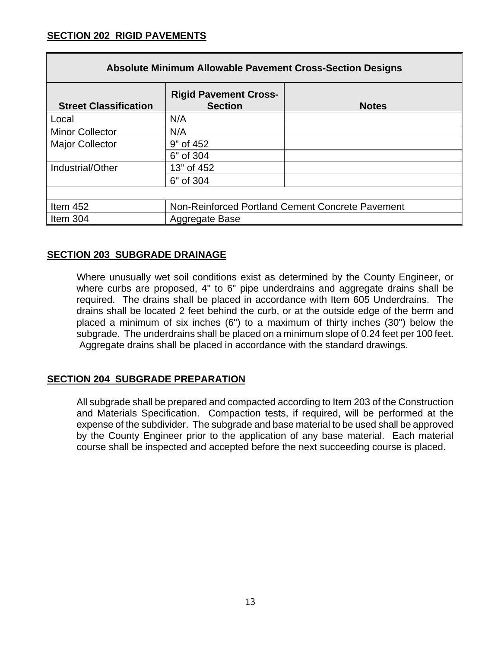| <b>Absolute Minimum Allowable Pavement Cross-Section Designs</b> |                                                  |              |  |
|------------------------------------------------------------------|--------------------------------------------------|--------------|--|
| <b>Street Classification</b>                                     | <b>Rigid Pavement Cross-</b><br><b>Section</b>   | <b>Notes</b> |  |
| Local                                                            | N/A                                              |              |  |
| <b>Minor Collector</b>                                           | N/A                                              |              |  |
| <b>Major Collector</b>                                           | 9" of 452                                        |              |  |
|                                                                  | 6" of 304                                        |              |  |
| Industrial/Other                                                 | 13" of 452                                       |              |  |
|                                                                  | 6" of 304                                        |              |  |
|                                                                  |                                                  |              |  |
| Item 452                                                         | Non-Reinforced Portland Cement Concrete Pavement |              |  |
| Item 304                                                         | Aggregate Base                                   |              |  |

## **SECTION 203 SUBGRADE DRAINAGE**

Where unusually wet soil conditions exist as determined by the County Engineer, or where curbs are proposed, 4" to 6" pipe underdrains and aggregate drains shall be required. The drains shall be placed in accordance with Item 605 Underdrains. The drains shall be located 2 feet behind the curb, or at the outside edge of the berm and placed a minimum of six inches (6") to a maximum of thirty inches (30") below the subgrade. The underdrains shall be placed on a minimum slope of 0.24 feet per 100 feet. Aggregate drains shall be placed in accordance with the standard drawings.

#### **SECTION 204 SUBGRADE PREPARATION**

All subgrade shall be prepared and compacted according to Item 203 of the Construction and Materials Specification. Compaction tests, if required, will be performed at the expense of the subdivider. The subgrade and base material to be used shall be approved by the County Engineer prior to the application of any base material. Each material course shall be inspected and accepted before the next succeeding course is placed.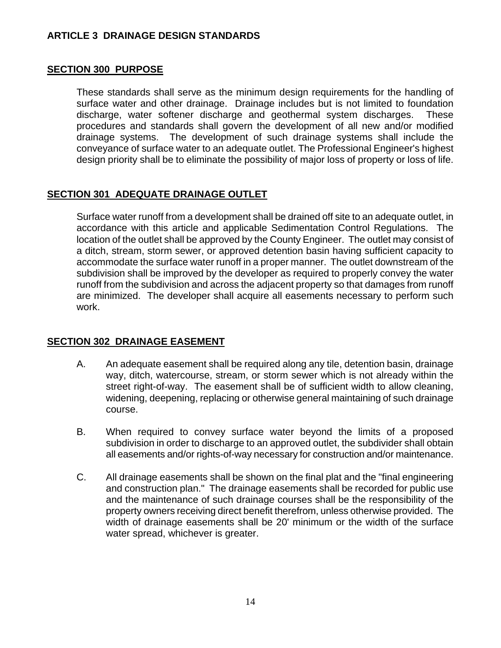## **ARTICLE 3 DRAINAGE DESIGN STANDARDS**

#### **SECTION 300 PURPOSE**

These standards shall serve as the minimum design requirements for the handling of surface water and other drainage. Drainage includes but is not limited to foundation discharge, water softener discharge and geothermal system discharges. These procedures and standards shall govern the development of all new and/or modified drainage systems. The development of such drainage systems shall include the conveyance of surface water to an adequate outlet. The Professional Engineer's highest design priority shall be to eliminate the possibility of major loss of property or loss of life.

#### **SECTION 301 ADEQUATE DRAINAGE OUTLET**

Surface water runoff from a development shall be drained off site to an adequate outlet, in accordance with this article and applicable Sedimentation Control Regulations. The location of the outlet shall be approved by the County Engineer. The outlet may consist of a ditch, stream, storm sewer, or approved detention basin having sufficient capacity to accommodate the surface water runoff in a proper manner. The outlet downstream of the subdivision shall be improved by the developer as required to properly convey the water runoff from the subdivision and across the adjacent property so that damages from runoff are minimized. The developer shall acquire all easements necessary to perform such work.

#### **SECTION 302 DRAINAGE EASEMENT**

- A. An adequate easement shall be required along any tile, detention basin, drainage way, ditch, watercourse, stream, or storm sewer which is not already within the street right-of-way. The easement shall be of sufficient width to allow cleaning, widening, deepening, replacing or otherwise general maintaining of such drainage course.
- B. When required to convey surface water beyond the limits of a proposed subdivision in order to discharge to an approved outlet, the subdivider shall obtain all easements and/or rights-of-way necessary for construction and/or maintenance.
- C. All drainage easements shall be shown on the final plat and the "final engineering and construction plan." The drainage easements shall be recorded for public use and the maintenance of such drainage courses shall be the responsibility of the property owners receiving direct benefit therefrom, unless otherwise provided. The width of drainage easements shall be 20' minimum or the width of the surface water spread, whichever is greater.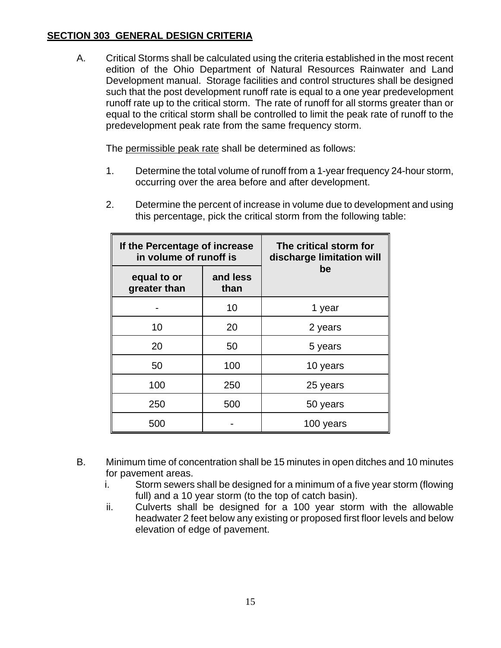# **SECTION 303 GENERAL DESIGN CRITERIA**

A. Critical Storms shall be calculated using the criteria established in the most recent edition of the Ohio Department of Natural Resources Rainwater and Land Development manual. Storage facilities and control structures shall be designed such that the post development runoff rate is equal to a one year predevelopment runoff rate up to the critical storm. The rate of runoff for all storms greater than or equal to the critical storm shall be controlled to limit the peak rate of runoff to the predevelopment peak rate from the same frequency storm.

The permissible peak rate shall be determined as follows:

- 1. Determine the total volume of runoff from a 1-year frequency 24-hour storm, occurring over the area before and after development.
- 2. Determine the percent of increase in volume due to development and using this percentage, pick the critical storm from the following table:

| If the Percentage of increase<br>in volume of runoff is |                  | The critical storm for<br>discharge limitation will |
|---------------------------------------------------------|------------------|-----------------------------------------------------|
| equal to or<br>greater than                             | and less<br>than | be                                                  |
|                                                         | 10               | 1 year                                              |
| 10                                                      | 20               | 2 years                                             |
| 20                                                      | 50               | 5 years                                             |
| 50                                                      | 100              | 10 years                                            |
| 100                                                     | 250              | 25 years                                            |
| 250                                                     | 500              | 50 years                                            |
| 500                                                     |                  | 100 years                                           |

- B. Minimum time of concentration shall be 15 minutes in open ditches and 10 minutes for pavement areas.
	- i. Storm sewers shall be designed for a minimum of a five year storm (flowing full) and a 10 year storm (to the top of catch basin).
	- ii. Culverts shall be designed for a 100 year storm with the allowable headwater 2 feet below any existing or proposed first floor levels and below elevation of edge of pavement.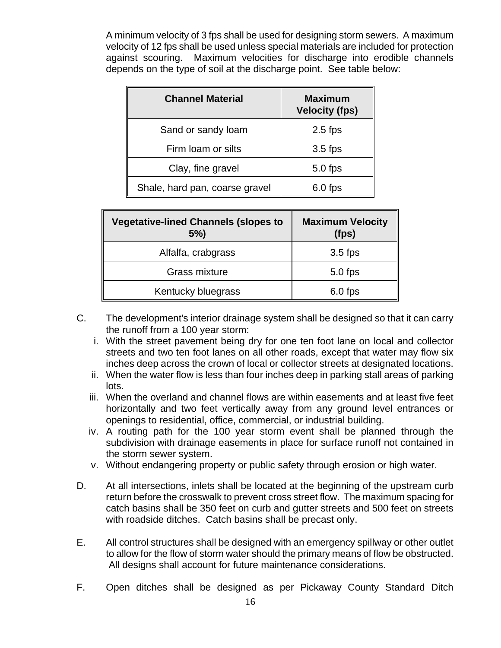A minimum velocity of 3 fps shall be used for designing storm sewers. A maximum velocity of 12 fps shall be used unless special materials are included for protection against scouring. Maximum velocities for discharge into erodible channels depends on the type of soil at the discharge point. See table below:

| <b>Channel Material</b>        | <b>Maximum</b><br><b>Velocity (fps)</b> |
|--------------------------------|-----------------------------------------|
| Sand or sandy loam             | $2.5$ fps                               |
| Firm loam or silts             | $3.5$ fps                               |
| Clay, fine gravel              | $5.0$ fps                               |
| Shale, hard pan, coarse gravel | $6.0$ fps                               |

| <b>Vegetative-lined Channels (slopes to</b><br>5% | <b>Maximum Velocity</b><br>(fps) |
|---------------------------------------------------|----------------------------------|
| Alfalfa, crabgrass                                | $3.5$ fps                        |
| Grass mixture                                     | $5.0$ fps                        |
| Kentucky bluegrass                                | $6.0$ fps                        |

- C. The development's interior drainage system shall be designed so that it can carry the runoff from a 100 year storm:
	- i. With the street pavement being dry for one ten foot lane on local and collector streets and two ten foot lanes on all other roads, except that water may flow six inches deep across the crown of local or collector streets at designated locations.
	- ii. When the water flow is less than four inches deep in parking stall areas of parking lots.
	- iii. When the overland and channel flows are within easements and at least five feet horizontally and two feet vertically away from any ground level entrances or openings to residential, office, commercial, or industrial building.
	- iv. A routing path for the 100 year storm event shall be planned through the subdivision with drainage easements in place for surface runoff not contained in the storm sewer system.
	- v. Without endangering property or public safety through erosion or high water.
- D. At all intersections, inlets shall be located at the beginning of the upstream curb return before the crosswalk to prevent cross street flow. The maximum spacing for catch basins shall be 350 feet on curb and gutter streets and 500 feet on streets with roadside ditches. Catch basins shall be precast only.
- E. All control structures shall be designed with an emergency spillway or other outlet to allow for the flow of storm water should the primary means of flow be obstructed. All designs shall account for future maintenance considerations.
- F. Open ditches shall be designed as per Pickaway County Standard Ditch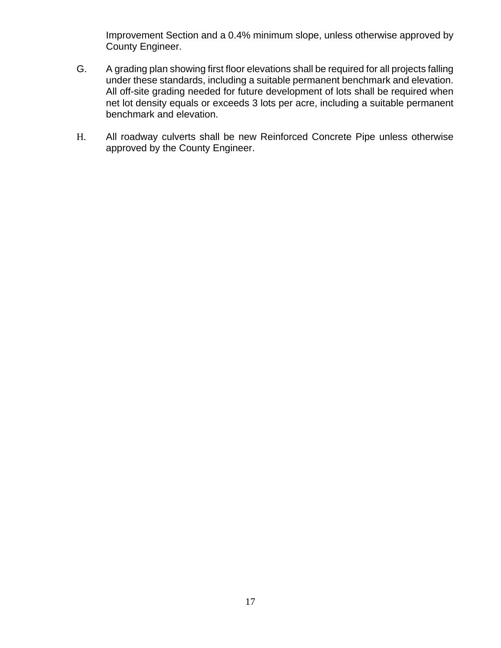Improvement Section and a 0.4% minimum slope, unless otherwise approved by County Engineer.

- G. A grading plan showing first floor elevations shall be required for all projects falling under these standards, including a suitable permanent benchmark and elevation. All off-site grading needed for future development of lots shall be required when net lot density equals or exceeds 3 lots per acre, including a suitable permanent benchmark and elevation.
- H. All roadway culverts shall be new Reinforced Concrete Pipe unless otherwise approved by the County Engineer.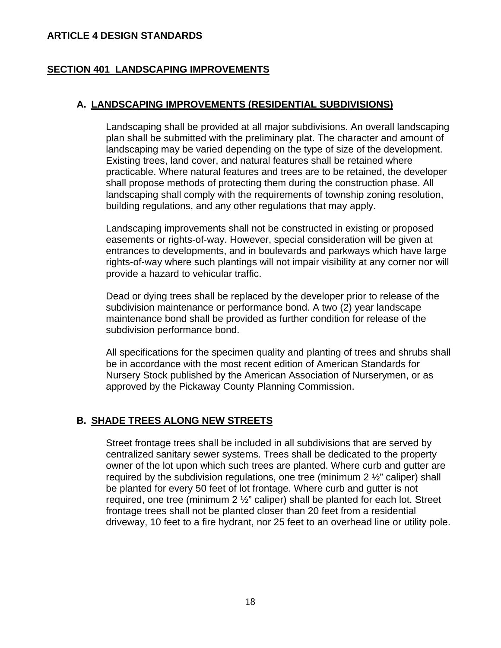### **ARTICLE 4 DESIGN STANDARDS**

## **SECTION 401 LANDSCAPING IMPROVEMENTS**

## **A. LANDSCAPING IMPROVEMENTS (RESIDENTIAL SUBDIVISIONS)**

Landscaping shall be provided at all major subdivisions. An overall landscaping plan shall be submitted with the preliminary plat. The character and amount of landscaping may be varied depending on the type of size of the development. Existing trees, land cover, and natural features shall be retained where practicable. Where natural features and trees are to be retained, the developer shall propose methods of protecting them during the construction phase. All landscaping shall comply with the requirements of township zoning resolution, building regulations, and any other regulations that may apply.

Landscaping improvements shall not be constructed in existing or proposed easements or rights-of-way. However, special consideration will be given at entrances to developments, and in boulevards and parkways which have large rights-of-way where such plantings will not impair visibility at any corner nor will provide a hazard to vehicular traffic.

Dead or dying trees shall be replaced by the developer prior to release of the subdivision maintenance or performance bond. A two (2) year landscape maintenance bond shall be provided as further condition for release of the subdivision performance bond.

All specifications for the specimen quality and planting of trees and shrubs shall be in accordance with the most recent edition of American Standards for Nursery Stock published by the American Association of Nurserymen, or as approved by the Pickaway County Planning Commission.

# **B. SHADE TREES ALONG NEW STREETS**

Street frontage trees shall be included in all subdivisions that are served by centralized sanitary sewer systems. Trees shall be dedicated to the property owner of the lot upon which such trees are planted. Where curb and gutter are required by the subdivision regulations, one tree (minimum  $2\frac{1}{2}$ " caliper) shall be planted for every 50 feet of lot frontage. Where curb and gutter is not required, one tree (minimum 2 ½" caliper) shall be planted for each lot. Street frontage trees shall not be planted closer than 20 feet from a residential driveway, 10 feet to a fire hydrant, nor 25 feet to an overhead line or utility pole.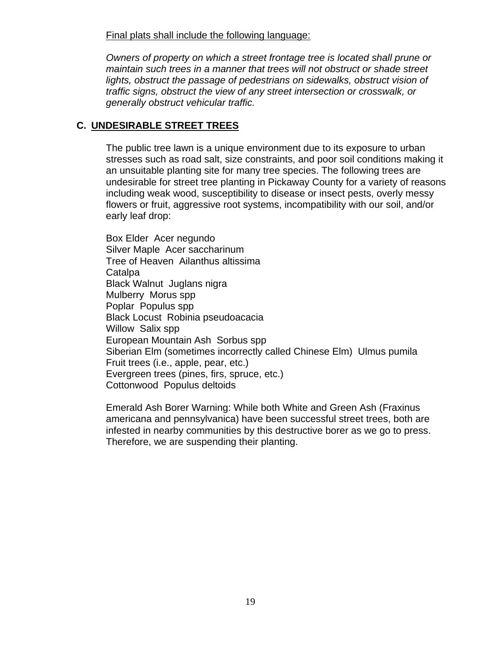Final plats shall include the following language:

*Owners of property on which a street frontage tree is located shall prune or maintain such trees in a manner that trees will not obstruct or shade street lights, obstruct the passage of pedestrians on sidewalks, obstruct vision of traffic signs, obstruct the view of any street intersection or crosswalk, or generally obstruct vehicular traffic.* 

## **C. UNDESIRABLE STREET TREES**

The public tree lawn is a unique environment due to its exposure to urban stresses such as road salt, size constraints, and poor soil conditions making it an unsuitable planting site for many tree species. The following trees are undesirable for street tree planting in Pickaway County for a variety of reasons including weak wood, susceptibility to disease or insect pests, overly messy flowers or fruit, aggressive root systems, incompatibility with our soil, and/or early leaf drop:

Box Elder Acer negundo Silver Maple Acer saccharinum Tree of Heaven Ailanthus altissima **Catalpa** Black Walnut Juglans nigra Mulberry Morus spp Poplar Populus spp Black Locust Robinia pseudoacacia Willow Salix spp European Mountain Ash Sorbus spp Siberian Elm (sometimes incorrectly called Chinese Elm) Ulmus pumila Fruit trees (i.e., apple, pear, etc.) Evergreen trees (pines, firs, spruce, etc.) Cottonwood Populus deltoids

Emerald Ash Borer Warning: While both White and Green Ash (Fraxinus americana and pennsylvanica) have been successful street trees, both are infested in nearby communities by this destructive borer as we go to press. Therefore, we are suspending their planting.